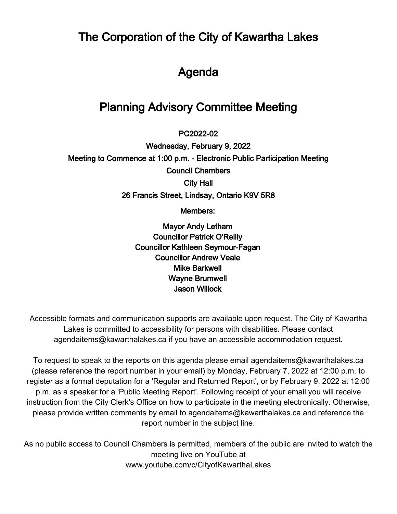The Corporation of the City of Kawartha Lakes

# Agenda

# Planning Advisory Committee Meeting

 $\overline{\phantom{a}}$ PC2022-02

Wednesday, February 9, 2022 Meeting to Commence at 1:00 p.m. - Electronic Public Participation Meeting Council Chambers City Hall 26 Francis Street, Lindsay, Ontario K9V 5R8

Members:

Mayor Andy Letham Councillor Patrick O'Reilly Councillor Kathleen Seymour-Fagan Councillor Andrew Veale Mike Barkwell Wayne Brumwell Jason Willock

Accessible formats and communication supports are available upon request. The City of Kawartha Lakes is committed to accessibility for persons with disabilities. Please contact agendaitems@kawarthalakes.ca if you have an accessible accommodation request.

To request to speak to the reports on this agenda please email agendaitems@kawarthalakes.ca (please reference the report number in your email) by Monday, February 7, 2022 at 12:00 p.m. to register as a formal deputation for a 'Regular and Returned Report', or by February 9, 2022 at 12:00 p.m. as a speaker for a 'Public Meeting Report'. Following receipt of your email you will receive instruction from the City Clerk's Office on how to participate in the meeting electronically. Otherwise, please provide written comments by email to agendaitems@kawarthalakes.ca and reference the report number in the subject line.

As no public access to Council Chambers is permitted, members of the public are invited to watch the meeting live on YouTube at www.youtube.com/c/CityofKawarthaLakes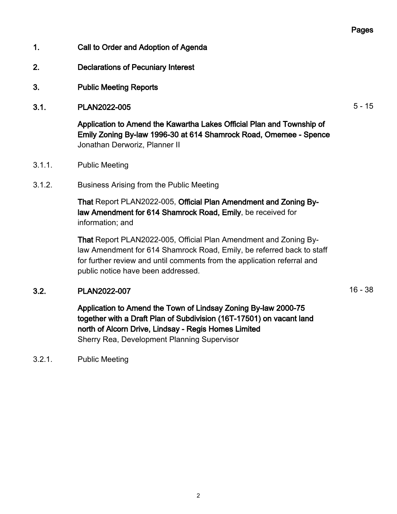#### Pages

- 1. Call to Order and Adoption of Agenda
- 2. Declarations of Pecuniary Interest
- 3. Public Meeting Reports
- 3.1. PLAN2022-005 5 15

Application to Amend the Kawartha Lakes Official Plan and Township of Emily Zoning By-law 1996-30 at 614 Shamrock Road, Omemee - Spence Jonathan Derworiz, Planner II

- 3.1.1. Public Meeting
- 3.1.2. Business Arising from the Public Meeting

That Report PLAN2022-005, Official Plan Amendment and Zoning Bylaw Amendment for 614 Shamrock Road, Emily, be received for information; and

That Report PLAN2022-005, Official Plan Amendment and Zoning Bylaw Amendment for 614 Shamrock Road, Emily, be referred back to staff for further review and until comments from the application referral and public notice have been addressed.

#### 3.2. PLAN2022-007 16 - 38

Application to Amend the Town of Lindsay Zoning By-law 2000-75 together with a Draft Plan of Subdivision (16T-17501) on vacant land north of Alcorn Drive, Lindsay - Regis Homes Limited Sherry Rea, Development Planning Supervisor

3.2.1. Public Meeting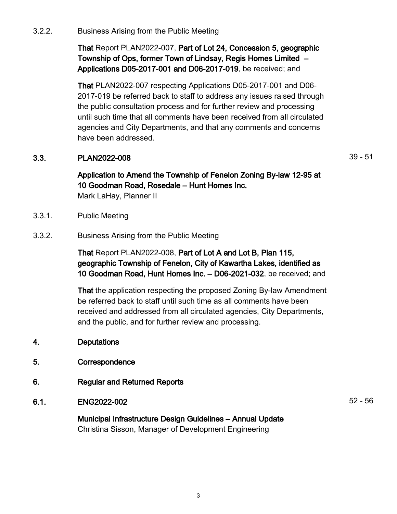3.2.2. Business Arising from the Public Meeting

That Report PLAN2022-007, Part of Lot 24, Concession 5, geographic Township of Ops, former Town of Lindsay, Regis Homes Limited – Applications D05-2017-001 and D06-2017-019, be received; and

That PLAN2022-007 respecting Applications D05-2017-001 and D06- 2017-019 be referred back to staff to address any issues raised through the public consultation process and for further review and processing until such time that all comments have been received from all circulated agencies and City Departments, and that any comments and concerns have been addressed.

### **3.3.** PLAN2022-008 39 - 51

Application to Amend the Township of Fenelon Zoning By-law 12-95 at 10 Goodman Road, Rosedale – Hunt Homes Inc. Mark LaHay, Planner II

- 3.3.1. Public Meeting
- 3.3.2. Business Arising from the Public Meeting

That Report PLAN2022-008, Part of Lot A and Lot B, Plan 115, geographic Township of Fenelon, City of Kawartha Lakes, identified as 10 Goodman Road, Hunt Homes Inc. – D06-2021-032, be received; and

That the application respecting the proposed Zoning By-law Amendment be referred back to staff until such time as all comments have been received and addressed from all circulated agencies, City Departments, and the public, and for further review and processing.

- 4. Deputations
- 5. Correspondence
- 6. Regular and Returned Reports

## 6.1. ENG2022-002 52 - 56

Municipal Infrastructure Design Guidelines – Annual Update Christina Sisson, Manager of Development Engineering